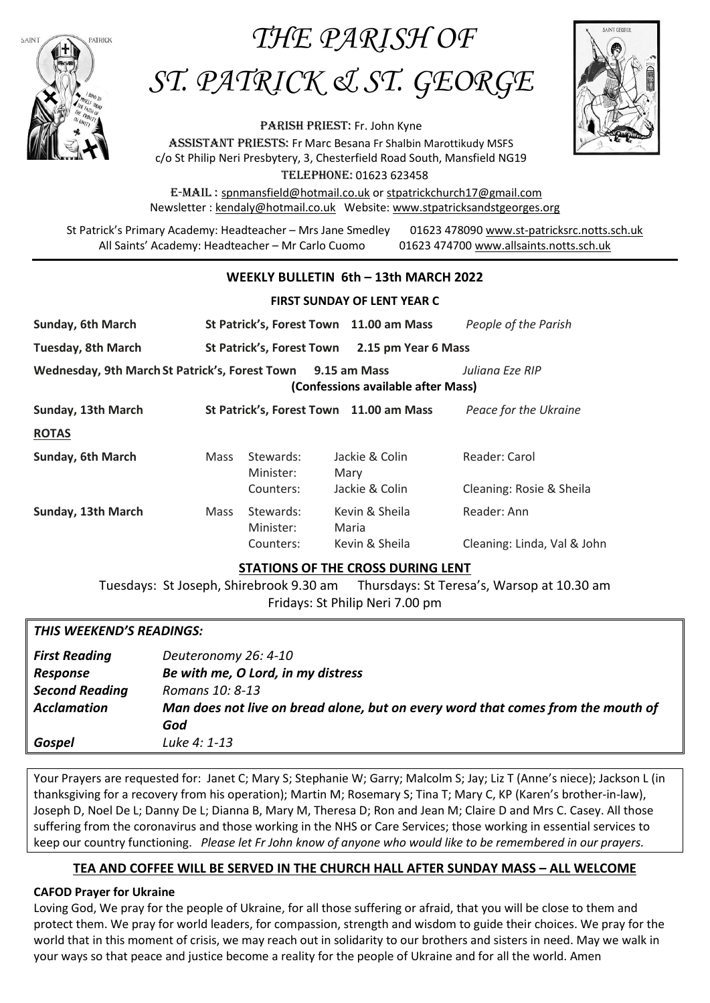# *THE PARISH OF*



# *ST. PATRICK & ST. GEORGE*

PARISH PRIEST: Fr. John Kyne

ASSISTANT PRIESTS: Fr Marc Besana Fr Shalbin Marottikudy MSFS c/o St Philip Neri Presbytery, 3, Chesterfield Road South, Mansfield NG19 Telephone: 01623 623458

E-Mail : [spnmansfield@hotmail.co.uk](mailto:spnmansfield@hotmail.co.uk) or [stpatrickchurch17@gmail.com](mailto:stpatrickchurch17@gmail.com) Newsletter [: kendaly@hotmail.co.uk](mailto:kendaly@hotmail.co.uk) Website: [www.stpatricksandstgeorges.org](http://www.stpatricksandstgeorges.org/)

St Patrick's Primary Academy: Headteacher – Mrs Jane Smedley 01623 478090 [www.st-patricksrc.notts.sch.uk](http://www.st-patricksrc.notts.sch.uk/) All Saints' Academy: Headteacher - Mr Carlo Cuomo 01623 474700 [www.allsaints.notts.sch.uk](http://www.allsaints.notts.sch.uk/)

# **WEEKLY BULLETIN 6th – 13th MARCH 2022**

#### **FIRST SUNDAY OF LENT YEAR C**

| Sunday, 6th March                                           |             |                                  | St Patrick's, Forest Town 11.00 am Mass | People of the Parish        |
|-------------------------------------------------------------|-------------|----------------------------------|-----------------------------------------|-----------------------------|
| <b>Tuesday, 8th March</b>                                   |             | <b>St Patrick's, Forest Town</b> | 2.15 pm Year 6 Mass                     |                             |
| Wednesday, 9th March St Patrick's, Forest Town 9.15 am Mass |             |                                  | (Confessions available after Mass)      | Juliana Eze RIP             |
| Sunday, 13th March                                          |             |                                  | St Patrick's, Forest Town 11.00 am Mass | Peace for the Ukraine       |
| <b>ROTAS</b>                                                |             |                                  |                                         |                             |
| Sunday, 6th March                                           | <b>Mass</b> | Stewards:<br>Minister:           | Jackie & Colin<br>Mary                  | Reader: Carol               |
|                                                             |             | Counters:                        | Jackie & Colin                          | Cleaning: Rosie & Sheila    |
| Sunday, 13th March                                          | Mass        | Stewards:<br>Minister:           | Kevin & Sheila<br>Maria                 | Reader: Ann                 |
|                                                             |             | Counters:                        | Kevin & Sheila                          | Cleaning: Linda, Val & John |

## **STATIONS OF THE CROSS DURING LENT**

Tuesdays: St Joseph, Shirebrook 9.30 am Thursdays: St Teresa's, Warsop at 10.30 am Fridays: St Philip Neri 7.00 pm

## *THIS WEEKEND'S READINGS:*

| <b>First Reading</b>  | Deuteronomy 26: 4-10                                                             |
|-----------------------|----------------------------------------------------------------------------------|
| Response              | Be with me, O Lord, in my distress                                               |
| <b>Second Reading</b> | Romans 10: 8-13                                                                  |
| <b>Acclamation</b>    | Man does not live on bread alone, but on every word that comes from the mouth of |
|                       | God                                                                              |
| Gospel                | Luke 4: 1-13                                                                     |

Your Prayers are requested for: Janet C; Mary S; Stephanie W; Garry; Malcolm S; Jay; Liz T (Anne's niece); Jackson L (in thanksgiving for a recovery from his operation); Martin M; Rosemary S; Tina T; Mary C, KP (Karen's brother-in-law), Joseph D, Noel De L; Danny De L; Dianna B, Mary M, Theresa D; Ron and Jean M; Claire D and Mrs C. Casey. All those suffering from the coronavirus and those working in the NHS or Care Services; those working in essential services to keep our country functioning. *Please let Fr John know of anyone who would like to be remembered in our prayers.*

# **TEA AND COFFEE WILL BE SERVED IN THE CHURCH HALL AFTER SUNDAY MASS – ALL WELCOME**

## **CAFOD Prayer for Ukraine**

Loving God, We pray for the people of Ukraine, for all those suffering or afraid, that you will be close to them and protect them. We pray for world leaders, for compassion, strength and wisdom to guide their choices. We pray for the world that in this moment of crisis, we may reach out in solidarity to our brothers and sisters in need. May we walk in your ways so that peace and justice become a reality for the people of Ukraine and for all the world. Amen